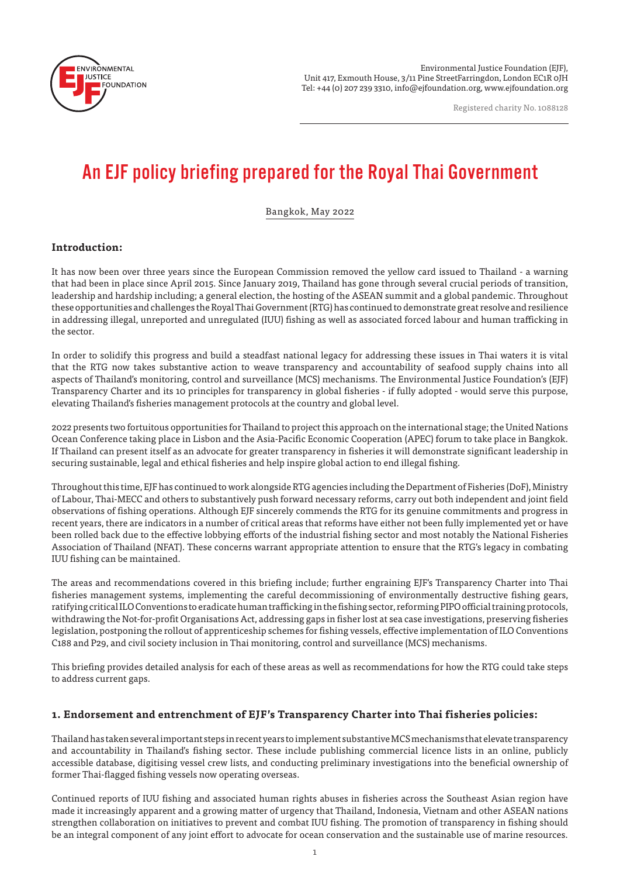

Environmental Justice Foundation (EJF), Unit 417, Exmouth House, 3/11 Pine StreetFarringdon, London EC1R 0JH Tel: +44 (0) 207 239 3310, info@ejfoundation.org, www.ejfoundation.org

Registered charity No. 1088128

# An EJF policy briefing prepared for the Royal Thai Government

Bangkok, May 2022

# **Introduction:**

It has now been over three years since the European Commission removed the yellow card issued to Thailand - a warning that had been in place since April 2015. Since January 2019, Thailand has gone through several crucial periods of transition, leadership and hardship including; a general election, the hosting of the ASEAN summit and a global pandemic. Throughout these opportunities and challenges the Royal Thai Government (RTG) has continued to demonstrate great resolve and resilience in addressing illegal, unreported and unregulated (IUU) fishing as well as associated forced labour and human trafficking in the sector.

In order to solidify this progress and build a steadfast national legacy for addressing these issues in Thai waters it is vital that the RTG now takes substantive action to weave transparency and accountability of seafood supply chains into all aspects of Thailand's monitoring, control and surveillance (MCS) mechanisms. The Environmental Justice Foundation's (EJF) Transparency Charter and its 10 principles for transparency in global fisheries - if fully adopted - would serve this purpose, elevating Thailand's fisheries management protocols at the country and global level.

2022 presents two fortuitous opportunities for Thailand to project this approach on the international stage; the United Nations Ocean Conference taking place in Lisbon and the Asia-Pacific Economic Cooperation (APEC) forum to take place in Bangkok. If Thailand can present itself as an advocate for greater transparency in fisheries it will demonstrate significant leadership in securing sustainable, legal and ethical fisheries and help inspire global action to end illegal fishing.

Throughout this time, EJF has continued to work alongside RTG agencies including the Department of Fisheries (DoF), Ministry of Labour, Thai-MECC and others to substantively push forward necessary reforms, carry out both independent and joint field observations of fishing operations. Although EJF sincerely commends the RTG for its genuine commitments and progress in recent years, there are indicators in a number of critical areas that reforms have either not been fully implemented yet or have been rolled back due to the effective lobbying efforts of the industrial fishing sector and most notably the National Fisheries Association of Thailand (NFAT). These concerns warrant appropriate attention to ensure that the RTG's legacy in combating IUU fishing can be maintained.

The areas and recommendations covered in this briefing include; further engraining EJF's Transparency Charter into Thai fisheries management systems, implementing the careful decommissioning of environmentally destructive fishing gears, ratifying critical ILO Conventions to eradicate human trafficking in the fishing sector, reforming PIPO official training protocols, withdrawing the Not-for-profit Organisations Act, addressing gaps in fisher lost at sea case investigations, preserving fisheries legislation, postponing the rollout of apprenticeship schemes for fishing vessels, effective implementation of ILO Conventions C188 and P29, and civil society inclusion in Thai monitoring, control and surveillance (MCS) mechanisms.

This briefing provides detailed analysis for each of these areas as well as recommendations for how the RTG could take steps to address current gaps.

## **1. Endorsement and entrenchment of EJF's Transparency Charter into Thai fisheries policies:**

Thailand has taken several important steps in recent years to implement substantive MCS mechanisms that elevate transparency and accountability in Thailand's fishing sector. These include publishing commercial licence lists in an online, publicly accessible database, digitising vessel crew lists, and conducting preliminary investigations into the beneficial ownership of former Thai-flagged fishing vessels now operating overseas.

Continued reports of IUU fishing and associated human rights abuses in fisheries across the Southeast Asian region have made it increasingly apparent and a growing matter of urgency that Thailand, Indonesia, Vietnam and other ASEAN nations strengthen collaboration on initiatives to prevent and combat IUU fishing. The promotion of transparency in fishing should be an integral component of any joint effort to advocate for ocean conservation and the sustainable use of marine resources.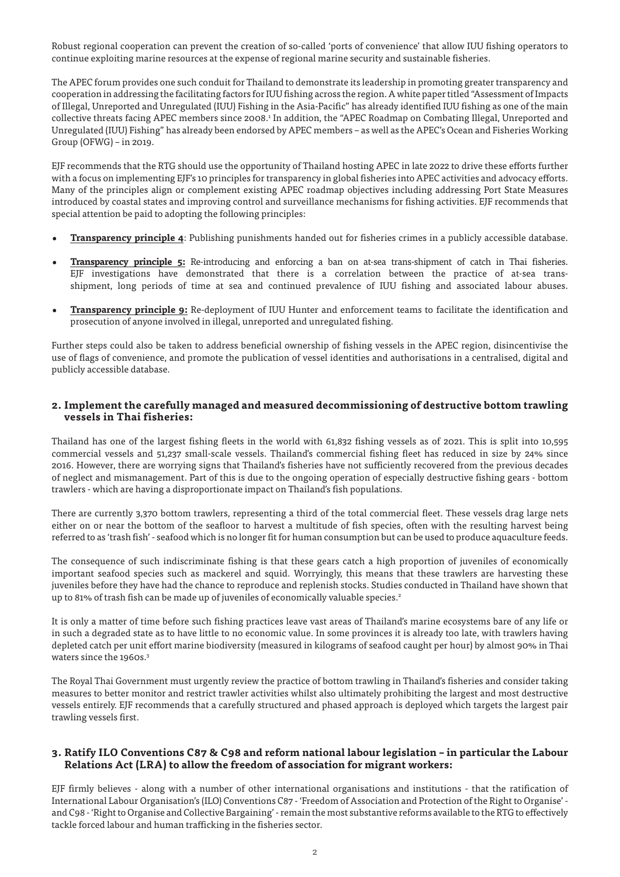Robust regional cooperation can prevent the creation of so-called 'ports of convenience' that allow IUU fishing operators to continue exploiting marine resources at the expense of regional marine security and sustainable fisheries.

The APEC forum provides one such conduit for Thailand to demonstrate its leadership in promoting greater transparency and cooperation in addressing the facilitating factors for IUU fishing across the region. A white paper titled "Assessment of Impacts of Illegal, Unreported and Unregulated (IUU) Fishing in the Asia-Pacific" has already identified IUU fishing as one of the main collective threats facing APEC members since 2008.1 In addition, the "APEC Roadmap on Combating Illegal, Unreported and Unregulated (IUU) Fishing" has already been endorsed by APEC members – as well as the APEC's Ocean and Fisheries Working Group (OFWG) – in 2019.

EJF recommends that the RTG should use the opportunity of Thailand hosting APEC in late 2022 to drive these efforts further with a focus on implementing EJF's 10 principles for transparency in global fisheries into APEC activities and advocacy efforts. Many of the principles align or complement existing APEC roadmap objectives including addressing Port State Measures introduced by coastal states and improving control and surveillance mechanisms for fishing activities. EJF recommends that special attention be paid to adopting the following principles:

- **• Transparency principle 4**: Publishing punishments handed out for fisheries crimes in a publicly accessible database.
- **Transparency principle 5:** Re-introducing and enforcing a ban on at-sea trans-shipment of catch in Thai fisheries. EJF investigations have demonstrated that there is a correlation between the practice of at-sea transshipment, long periods of time at sea and continued prevalence of IUU fishing and associated labour abuses.
- **• Transparency principle 9:** Re-deployment of IUU Hunter and enforcement teams to facilitate the identification and prosecution of anyone involved in illegal, unreported and unregulated fishing.

Further steps could also be taken to address beneficial ownership of fishing vessels in the APEC region, disincentivise the use of flags of convenience, and promote the publication of vessel identities and authorisations in a centralised, digital and publicly accessible database.

#### **2. Implement the carefully managed and measured decommissioning of destructive bottom trawling vessels in Thai fisheries:**

Thailand has one of the largest fishing fleets in the world with 61,832 fishing vessels as of 2021. This is split into 10,595 commercial vessels and 51,237 small-scale vessels. Thailand's commercial fishing fleet has reduced in size by 24% since 2016. However, there are worrying signs that Thailand's fisheries have not sufficiently recovered from the previous decades of neglect and mismanagement. Part of this is due to the ongoing operation of especially destructive fishing gears - bottom trawlers - which are having a disproportionate impact on Thailand's fish populations.

There are currently 3,370 bottom trawlers, representing a third of the total commercial fleet. These vessels drag large nets either on or near the bottom of the seafloor to harvest a multitude of fish species, often with the resulting harvest being referred to as 'trash fish' - seafood which is no longer fit for human consumption but can be used to produce aquaculture feeds.

The consequence of such indiscriminate fishing is that these gears catch a high proportion of juveniles of economically important seafood species such as mackerel and squid. Worryingly, this means that these trawlers are harvesting these juveniles before they have had the chance to reproduce and replenish stocks. Studies conducted in Thailand have shown that up to 81% of trash fish can be made up of juveniles of economically valuable species.<sup>2</sup>

It is only a matter of time before such fishing practices leave vast areas of Thailand's marine ecosystems bare of any life or in such a degraded state as to have little to no economic value. In some provinces it is already too late, with trawlers having depleted catch per unit effort marine biodiversity (measured in kilograms of seafood caught per hour) by almost 90% in Thai waters since the 1960s.<sup>3</sup>

The Royal Thai Government must urgently review the practice of bottom trawling in Thailand's fisheries and consider taking measures to better monitor and restrict trawler activities whilst also ultimately prohibiting the largest and most destructive vessels entirely. EJF recommends that a carefully structured and phased approach is deployed which targets the largest pair trawling vessels first.

## **3. Ratify ILO Conventions C87 & C98 and reform national labour legislation – in particular the Labour Relations Act (LRA) to allow the freedom of association for migrant workers:**

EJF firmly believes - along with a number of other international organisations and institutions - that the ratification of International Labour Organisation's (ILO) Conventions C87 - 'Freedom of Association and Protection of the Right to Organise' and C98 - 'Right to Organise and Collective Bargaining' - remain the most substantive reforms available to the RTG to effectively tackle forced labour and human trafficking in the fisheries sector.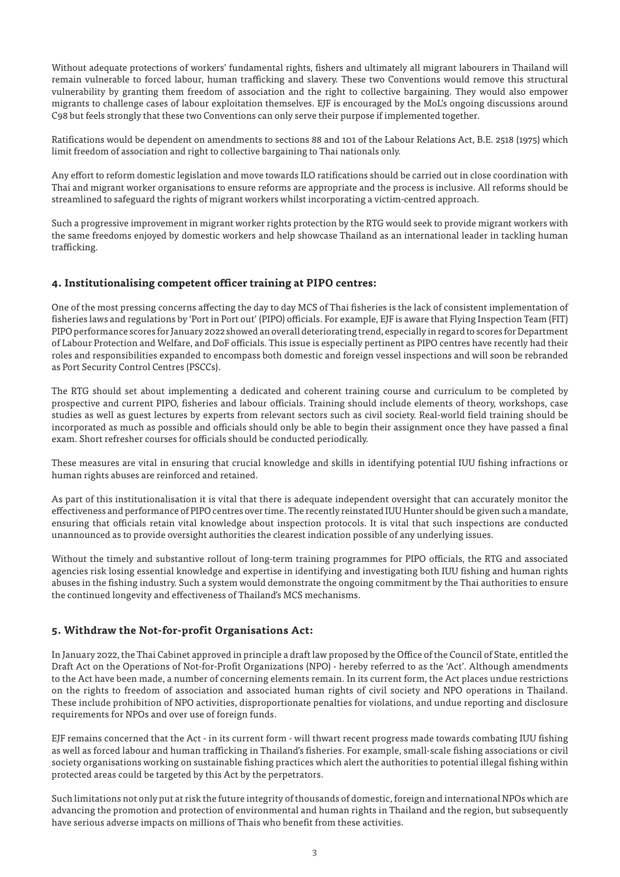Without adequate protections of workers' fundamental rights, fishers and ultimately all migrant labourers in Thailand will remain vulnerable to forced labour, human trafficking and slavery. These two Conventions would remove this structural vulnerability by granting them freedom of association and the right to collective bargaining. They would also empower migrants to challenge cases of labour exploitation themselves. EJF is encouraged by the MoL's ongoing discussions around C98 but feels strongly that these two Conventions can only serve their purpose if implemented together.

Ratifications would be dependent on amendments to sections 88 and 101 of the Labour Relations Act, B.E. 2518 (1975) which limit freedom of association and right to collective bargaining to Thai nationals only.

Any effort to reform domestic legislation and move towards ILO ratifications should be carried out in close coordination with Thai and migrant worker organisations to ensure reforms are appropriate and the process is inclusive. All reforms should be streamlined to safeguard the rights of migrant workers whilst incorporating a victim-centred approach.

Such a progressive improvement in migrant worker rights protection by the RTG would seek to provide migrant workers with the same freedoms enjoyed by domestic workers and help showcase Thailand as an international leader in tackling human trafficking.

#### **4. Institutionalising competent officer training at PIPO centres:**

One of the most pressing concerns affecting the day to day MCS of Thai fisheries is the lack of consistent implementation of fisheries laws and regulations by 'Port in Port out' (PIPO) officials. For example, EJF is aware that Flying Inspection Team (FIT) PIPO performance scores for January 2022 showed an overall deteriorating trend, especially in regard to scores for Department of Labour Protection and Welfare, and DoF officials. This issue is especially pertinent as PIPO centres have recently had their roles and responsibilities expanded to encompass both domestic and foreign vessel inspections and will soon be rebranded as Port Security Control Centres (PSCCs).

The RTG should set about implementing a dedicated and coherent training course and curriculum to be completed by prospective and current PIPO, fisheries and labour officials. Training should include elements of theory, workshops, case studies as well as guest lectures by experts from relevant sectors such as civil society. Real-world field training should be incorporated as much as possible and officials should only be able to begin their assignment once they have passed a final exam. Short refresher courses for officials should be conducted periodically.

These measures are vital in ensuring that crucial knowledge and skills in identifying potential IUU fishing infractions or human rights abuses are reinforced and retained.

As part of this institutionalisation it is vital that there is adequate independent oversight that can accurately monitor the effectiveness and performance of PIPO centres over time. The recently reinstated IUU Hunter should be given such a mandate, ensuring that officials retain vital knowledge about inspection protocols. It is vital that such inspections are conducted unannounced as to provide oversight authorities the clearest indication possible of any underlying issues.

Without the timely and substantive rollout of long-term training programmes for PIPO officials, the RTG and associated agencies risk losing essential knowledge and expertise in identifying and investigating both IUU fishing and human rights abuses in the fishing industry. Such a system would demonstrate the ongoing commitment by the Thai authorities to ensure the continued longevity and effectiveness of Thailand's MCS mechanisms.

## **5. Withdraw the Not-for-profit Organisations Act:**

In January 2022, the Thai Cabinet approved in principle a draft law proposed by the Office of the Council of State, entitled the Draft Act on the Operations of Not-for-Profit Organizations (NPO) - hereby referred to as the 'Act'. Although amendments to the Act have been made, a number of concerning elements remain. In its current form, the Act places undue restrictions on the rights to freedom of association and associated human rights of civil society and NPO operations in Thailand. These include prohibition of NPO activities, disproportionate penalties for violations, and undue reporting and disclosure requirements for NPOs and over use of foreign funds.

EJF remains concerned that the Act - in its current form - will thwart recent progress made towards combating IUU fishing as well as forced labour and human trafficking in Thailand's fisheries. For example, small-scale fishing associations or civil society organisations working on sustainable fishing practices which alert the authorities to potential illegal fishing within protected areas could be targeted by this Act by the perpetrators.

Such limitations not only put at risk the future integrity of thousands of domestic, foreign and international NPOs which are advancing the promotion and protection of environmental and human rights in Thailand and the region, but subsequently have serious adverse impacts on millions of Thais who benefit from these activities.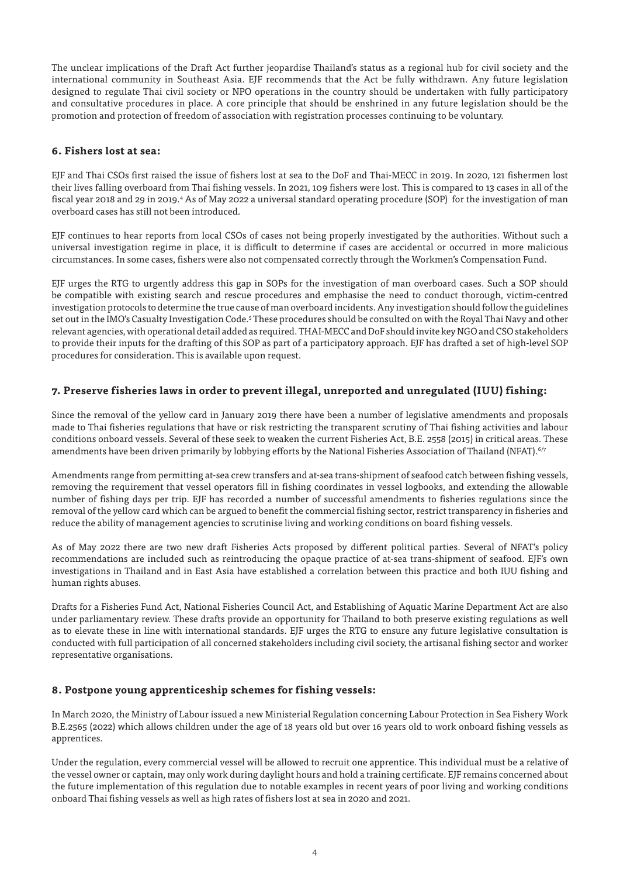The unclear implications of the Draft Act further jeopardise Thailand's status as a regional hub for civil society and the international community in Southeast Asia. EJF recommends that the Act be fully withdrawn. Any future legislation designed to regulate Thai civil society or NPO operations in the country should be undertaken with fully participatory and consultative procedures in place. A core principle that should be enshrined in any future legislation should be the promotion and protection of freedom of association with registration processes continuing to be voluntary.

#### **6. Fishers lost at sea:**

EJF and Thai CSOs first raised the issue of fishers lost at sea to the DoF and Thai-MECC in 2019. In 2020, 121 fishermen lost their lives falling overboard from Thai fishing vessels. In 2021, 109 fishers were lost. This is compared to 13 cases in all of the fiscal year 2018 and 29 in 2019.<sup>4</sup> As of May 2022 a universal standard operating procedure (SOP) for the investigation of man overboard cases has still not been introduced.

EJF continues to hear reports from local CSOs of cases not being properly investigated by the authorities. Without such a universal investigation regime in place, it is difficult to determine if cases are accidental or occurred in more malicious circumstances. In some cases, fishers were also not compensated correctly through the Workmen's Compensation Fund.

EJF urges the RTG to urgently address this gap in SOPs for the investigation of man overboard cases. Such a SOP should be compatible with existing search and rescue procedures and emphasise the need to conduct thorough, victim-centred investigation protocols to determine the true cause of man overboard incidents. Any investigation should follow the guidelines set out in the IMO's Casualty Investigation Code.<sup>5</sup> These procedures should be consulted on with the Royal Thai Navy and other relevant agencies, with operational detail added as required. THAI-MECC and DoF should invite key NGO and CSO stakeholders to provide their inputs for the drafting of this SOP as part of a participatory approach. EJF has drafted a set of high-level SOP procedures for consideration. This is available upon request.

## **7. Preserve fisheries laws in order to prevent illegal, unreported and unregulated (IUU) fishing:**

Since the removal of the yellow card in January 2019 there have been a number of legislative amendments and proposals made to Thai fisheries regulations that have or risk restricting the transparent scrutiny of Thai fishing activities and labour conditions onboard vessels. Several of these seek to weaken the current Fisheries Act, B.E. 2558 (2015) in critical areas. These amendments have been driven primarily by lobbying efforts by the National Fisheries Association of Thailand (NFAT).<sup>6/7</sup>

Amendments range from permitting at-sea crew transfers and at-sea trans-shipment of seafood catch between fishing vessels, removing the requirement that vessel operators fill in fishing coordinates in vessel logbooks, and extending the allowable number of fishing days per trip. EJF has recorded a number of successful amendments to fisheries regulations since the removal of the yellow card which can be argued to benefit the commercial fishing sector, restrict transparency in fisheries and reduce the ability of management agencies to scrutinise living and working conditions on board fishing vessels.

As of May 2022 there are two new draft Fisheries Acts proposed by different political parties. Several of NFAT's policy recommendations are included such as reintroducing the opaque practice of at-sea trans-shipment of seafood. EJF's own investigations in Thailand and in East Asia have established a correlation between this practice and both IUU fishing and human rights abuses.

Drafts for a Fisheries Fund Act, National Fisheries Council Act, and Establishing of Aquatic Marine Department Act are also under parliamentary review. These drafts provide an opportunity for Thailand to both preserve existing regulations as well as to elevate these in line with international standards. EJF urges the RTG to ensure any future legislative consultation is conducted with full participation of all concerned stakeholders including civil society, the artisanal fishing sector and worker representative organisations.

# **8. Postpone young apprenticeship schemes for fishing vessels:**

In March 2020, the Ministry of Labour issued a new Ministerial Regulation concerning Labour Protection in Sea Fishery Work B.E.2565 (2022) which allows children under the age of 18 years old but over 16 years old to work onboard fishing vessels as apprentices.

Under the regulation, every commercial vessel will be allowed to recruit one apprentice. This individual must be a relative of the vessel owner or captain, may only work during daylight hours and hold a training certificate. EJF remains concerned about the future implementation of this regulation due to notable examples in recent years of poor living and working conditions onboard Thai fishing vessels as well as high rates of fishers lost at sea in 2020 and 2021.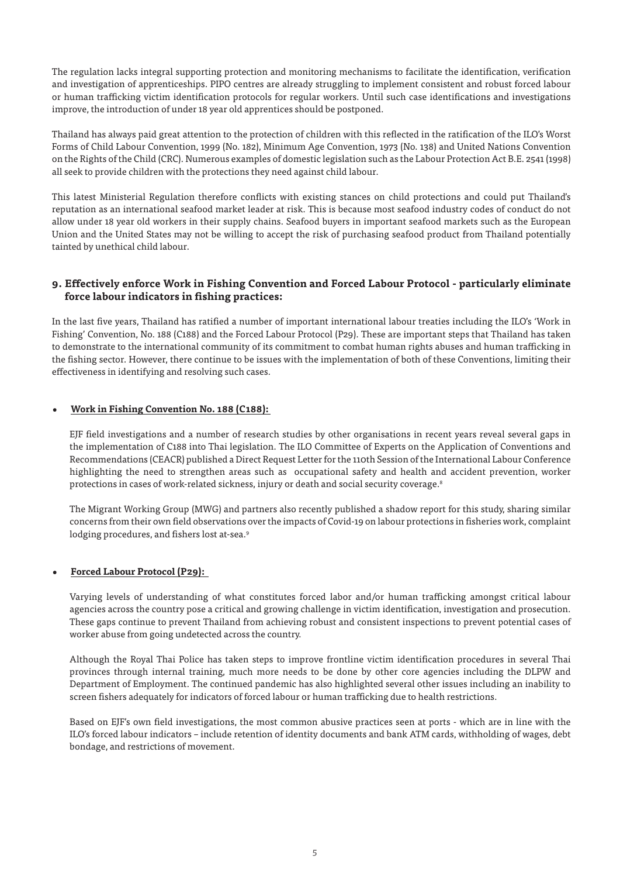The regulation lacks integral supporting protection and monitoring mechanisms to facilitate the identification, verification and investigation of apprenticeships. PIPO centres are already struggling to implement consistent and robust forced labour or human trafficking victim identification protocols for regular workers. Until such case identifications and investigations improve, the introduction of under 18 year old apprentices should be postponed.

Thailand has always paid great attention to the protection of children with this reflected in the ratification of the ILO's Worst Forms of Child Labour Convention, 1999 (No. 182), Minimum Age Convention, 1973 (No. 138) and United Nations Convention on the Rights of the Child (CRC). Numerous examples of domestic legislation such as the Labour Protection Act B.E. 2541 (1998) all seek to provide children with the protections they need against child labour.

This latest Ministerial Regulation therefore conflicts with existing stances on child protections and could put Thailand's reputation as an international seafood market leader at risk. This is because most seafood industry codes of conduct do not allow under 18 year old workers in their supply chains. Seafood buyers in important seafood markets such as the European Union and the United States may not be willing to accept the risk of purchasing seafood product from Thailand potentially tainted by unethical child labour.

# **9. Effectively enforce Work in Fishing Convention and Forced Labour Protocol - particularly eliminate force labour indicators in fishing practices:**

In the last five years, Thailand has ratified a number of important international labour treaties including the ILO's 'Work in Fishing' Convention, No. 188 (C188) and the Forced Labour Protocol (P29). These are important steps that Thailand has taken to demonstrate to the international community of its commitment to combat human rights abuses and human trafficking in the fishing sector. However, there continue to be issues with the implementation of both of these Conventions, limiting their effectiveness in identifying and resolving such cases.

#### **• Work in Fishing Convention No. 188 (C188):**

EJF field investigations and a number of research studies by other organisations in recent years reveal several gaps in the implementation of C188 into Thai legislation. The ILO Committee of Experts on the Application of Conventions and Recommendations (CEACR) published a Direct Request Letter for the 110th Session of the International Labour Conference highlighting the need to strengthen areas such as occupational safety and health and accident prevention, worker protections in cases of work-related sickness, injury or death and social security coverage.<sup>8</sup>

The Migrant Working Group (MWG) and partners also recently published a shadow report for this study, sharing similar concerns from their own field observations over the impacts of Covid-19 on labour protections in fisheries work, complaint lodging procedures, and fishers lost at-sea.<sup>9</sup>

## **• Forced Labour Protocol (P29):**

Varying levels of understanding of what constitutes forced labor and/or human trafficking amongst critical labour agencies across the country pose a critical and growing challenge in victim identification, investigation and prosecution. These gaps continue to prevent Thailand from achieving robust and consistent inspections to prevent potential cases of worker abuse from going undetected across the country.

Although the Royal Thai Police has taken steps to improve frontline victim identification procedures in several Thai provinces through internal training, much more needs to be done by other core agencies including the DLPW and Department of Employment. The continued pandemic has also highlighted several other issues including an inability to screen fishers adequately for indicators of forced labour or human trafficking due to health restrictions.

Based on EJF's own field investigations, the most common abusive practices seen at ports - which are in line with the ILO's forced labour indicators – include retention of identity documents and bank ATM cards, withholding of wages, debt bondage, and restrictions of movement.